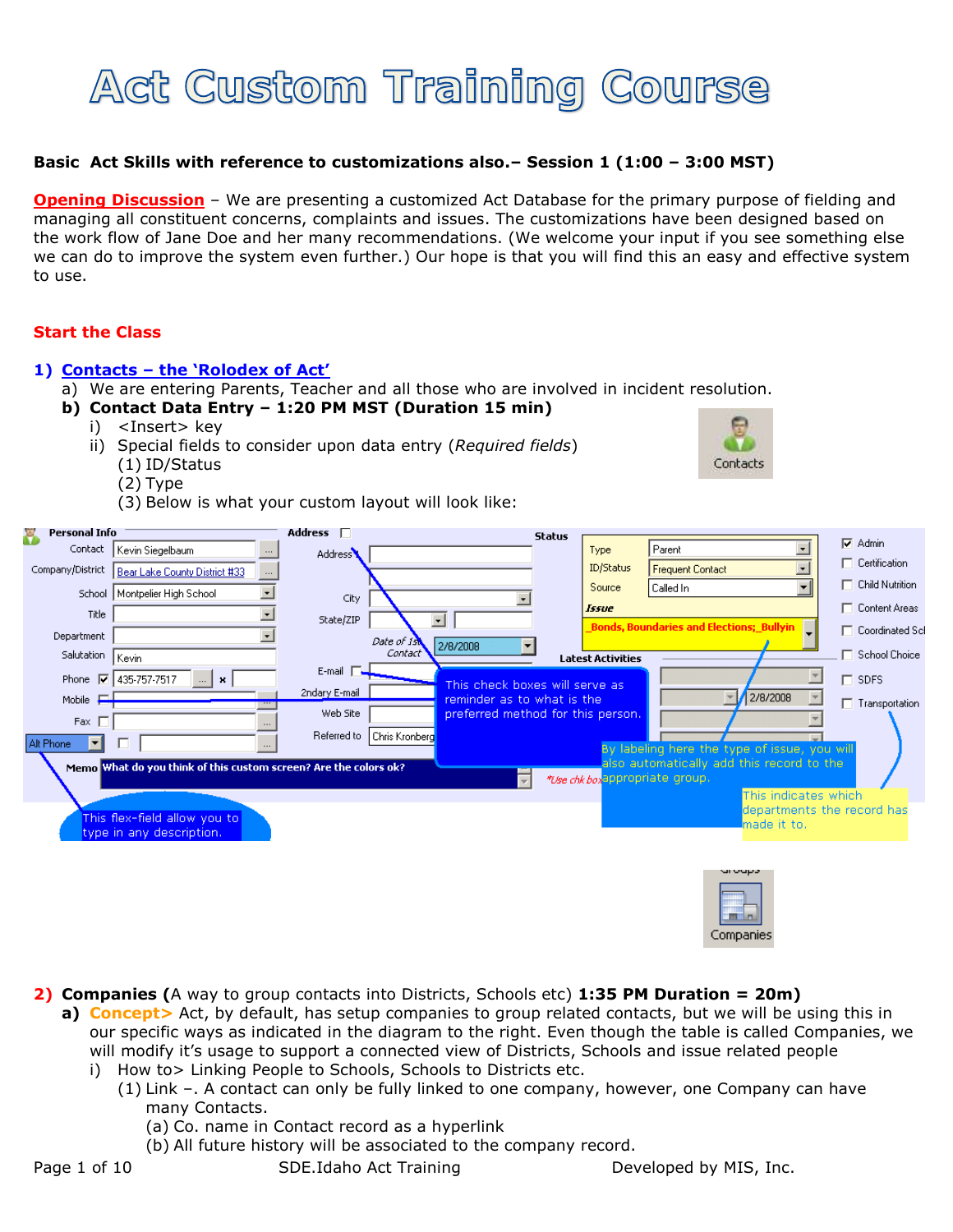

## **Basic Act Skills with reference to customizations also.– Session 1 (1:00 – 3:00 MST)**

**Opening Discussion** – We are presenting a customized Act Database for the primary purpose of fielding and managing all constituent concerns, complaints and issues. The customizations have been designed based on the work flow of Jane Doe and her many recommendations. (We welcome your input if you see something else we can do to improve the system even further.) Our hope is that you will find this an easy and effective system to use.

## **Start the Class**

#### **1) Contacts – the 'Rolodex of Act'**

- a) We are entering Parents, Teacher and all those who are involved in incident resolution.
- **b) Contact Data Entry – 1:20 PM MST (Duration 15 min)**
	- i) <Insert> key
	- ii) Special fields to consider upon data entry (*Required fields*)
		- (1) ID/Status
		- (2) Type
		- (3) Below is what your custom layout will look like:



| <b>Personal Info</b><br>Ÿ                                                                                                                        |                                                             | Address <b>F</b>     |                        |                                   | <b>Status</b> |                          |                                                |  |  |                        |  |  |
|--------------------------------------------------------------------------------------------------------------------------------------------------|-------------------------------------------------------------|----------------------|------------------------|-----------------------------------|---------------|--------------------------|------------------------------------------------|--|--|------------------------|--|--|
|                                                                                                                                                  | Contact   Kevin Siegelbaum<br>$\cdots$                      | Address <sup>1</sup> |                        |                                   |               | Type                     | $\overline{ }$<br>Parent                       |  |  | $\nabla$ Admin         |  |  |
| Company/District                                                                                                                                 | Bear Lake County District #33<br>$\cdots$                   |                      |                        |                                   |               | ID/Status                | $\vert \cdot \vert$<br><b>Frequent Contact</b> |  |  | $\Box$ Certification   |  |  |
|                                                                                                                                                  | $\overline{\phantom{a}}$<br>School   Montpelier High School |                      |                        |                                   |               | Source                   | $\vert$<br>Called In                           |  |  | $\Box$ Child Nutrition |  |  |
| Title                                                                                                                                            |                                                             | City                 |                        |                                   |               | <b>Issue</b>             |                                                |  |  | □ Content Areas        |  |  |
|                                                                                                                                                  |                                                             | State/ZIP            | $\blacksquare$         |                                   |               |                          | Bonds, Boundaries and Elections; Bullyin       |  |  | □ Coordinated Scl      |  |  |
| Department                                                                                                                                       |                                                             |                      | Date of 1st<br>Contact | 2/8/2008                          |               |                          |                                                |  |  | School Choice          |  |  |
| Salutation                                                                                                                                       | Kevin                                                       | E-mail F             |                        |                                   |               | <b>Latest Activities</b> |                                                |  |  |                        |  |  |
|                                                                                                                                                  | Phone <b>Ø</b> 435-757-7517<br>$\mathbb{R}$ $\mathbb{R}$    |                      |                        | This check boxes will serve as    |               |                          |                                                |  |  | $\Box$ SDFS            |  |  |
| Mobile $\Box$                                                                                                                                    |                                                             | 2ndary E-mail        |                        | reminder as to what is the        |               |                          | 2/8/2008<br>$\blacktriangledown$               |  |  | Transportation         |  |  |
| Fax $\Box$                                                                                                                                       |                                                             | Web Site             |                        | preferred method for this person. |               |                          |                                                |  |  |                        |  |  |
| ▼                                                                                                                                                | ⊓                                                           | Referred to          | Chris Kronberg         |                                   |               |                          |                                                |  |  |                        |  |  |
| Alt Phone                                                                                                                                        |                                                             |                      |                        |                                   |               |                          | By labeling here the type of issue, you will   |  |  |                        |  |  |
| also automatically add this record to the<br>Memo What do you think of this custom screen? Are the colors ok?<br>*Use chk box appropriate group. |                                                             |                      |                        |                                   |               |                          |                                                |  |  |                        |  |  |
|                                                                                                                                                  |                                                             |                      |                        | $\overline{\phantom{a}}$          |               |                          | This indicates which                           |  |  |                        |  |  |
|                                                                                                                                                  |                                                             |                      |                        |                                   |               |                          | departments the record has                     |  |  |                        |  |  |
|                                                                                                                                                  | This flex-field allow you to                                |                      |                        |                                   |               |                          | made it to.                                    |  |  |                        |  |  |
|                                                                                                                                                  | type in any description.                                    |                      |                        |                                   |               |                          |                                                |  |  |                        |  |  |
|                                                                                                                                                  |                                                             |                      |                        |                                   |               |                          |                                                |  |  |                        |  |  |
|                                                                                                                                                  |                                                             |                      |                        |                                   |               |                          | uroups                                         |  |  |                        |  |  |
|                                                                                                                                                  |                                                             |                      |                        |                                   |               |                          |                                                |  |  |                        |  |  |
|                                                                                                                                                  |                                                             |                      |                        |                                   |               |                          |                                                |  |  |                        |  |  |
|                                                                                                                                                  |                                                             |                      |                        |                                   |               |                          | <b>The Contract</b>                            |  |  |                        |  |  |

**2) Companies (**A way to group contacts into Districts, Schools etc) **1:35 PM Duration = 20m)**

- **a) Concept>** Act, by default, has setup companies to group related contacts, but we will be using this in our specific ways as indicated in the diagram to the right. Even though the table is called Companies, we will modify it's usage to support a connected view of Districts, Schools and issue related people
	- i) How to> Linking People to Schools, Schools to Districts etc.
		- (1) Link –. A contact can only be fully linked to one company, however, one Company can have many Contacts.
			- (a) Co. name in Contact record as a hyperlink
			- (b) All future history will be associated to the company record.

Page 1 of 10 SDE.Idaho Act Training Developed by MIS, Inc.

Companies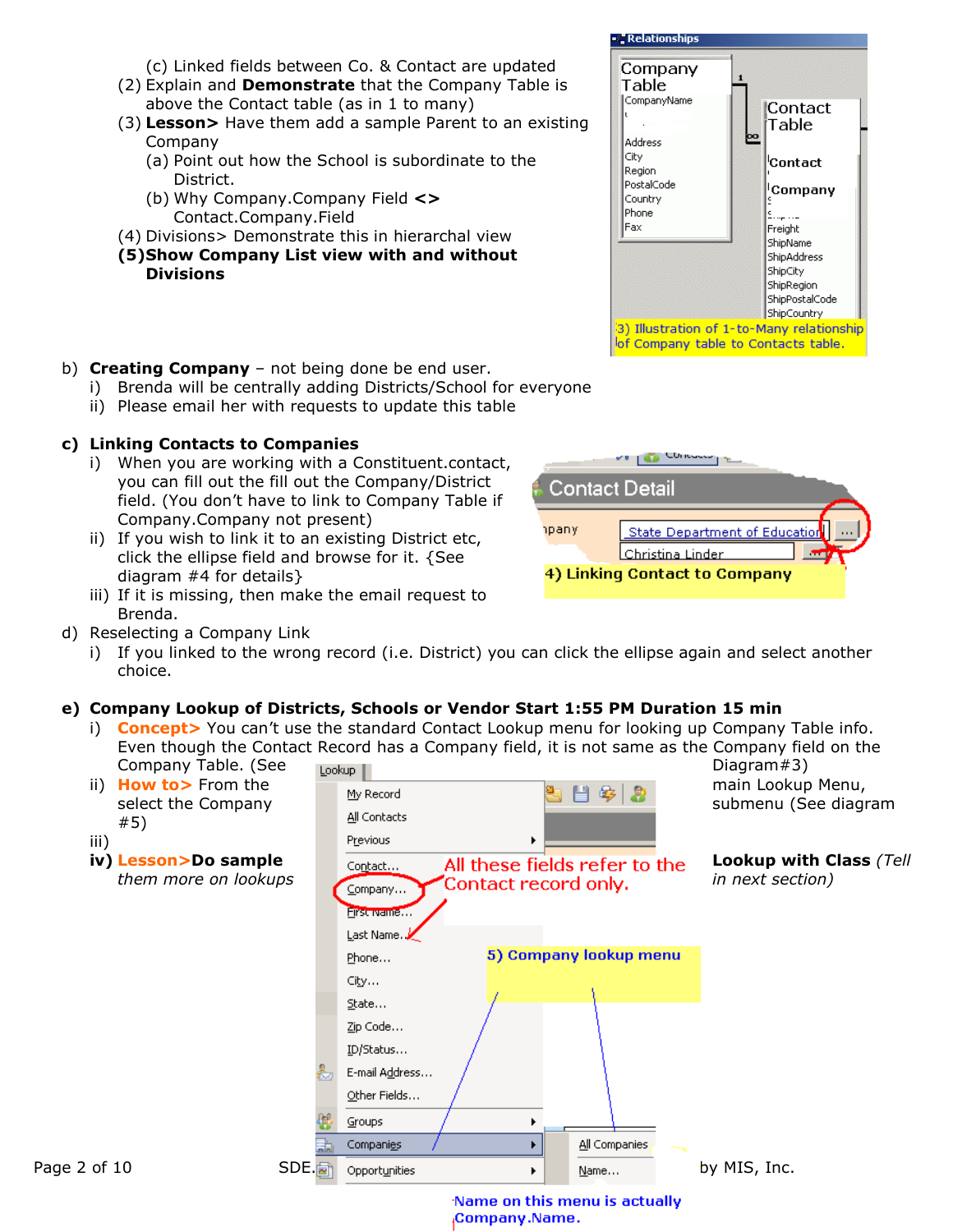- (c) Linked fields between Co. & Contact are updated
- (2) Explain and **Demonstrate** that the Company Table is above the Contact table (as in 1 to many)
- (3) **Lesson>** Have them add a sample Parent to an existing Company
	- (a) Point out how the School is subordinate to the District.
	- (b) Why Company.Company Field **<>** Contact.Company.Field
- (4) Divisions> Demonstrate this in hierarchal view
- **(5)Show Company List view with and without Divisions**



- i) Brenda will be centrally adding Districts/School for everyone
- ii) Please email her with requests to update this table

# **c) Linking Contacts to Companies**

- i) When you are working with a Constituent.contact, you can fill out the fill out the Company/District field. (You don't have to link to Company Table if Company.Company not present)
- ii) If you wish to link it to an existing District etc, click the ellipse field and browse for it. {See diagram #4 for details}
- iii) If it is missing, then make the email request to Brenda.
- d) Reselecting a Company Link
	- i) If you linked to the wrong record (i.e. District) you can click the ellipse again and select another choice.

# **e) Company Lookup of Districts, Schools or Vendor Start 1:55 PM Duration 15 min**

i) **Concept>** You can't use the standard Contact Lookup menu for looking up Company Table info. Even though the Contact Record has a Company field, it is not same as the Company field on the Company Table. (See Diagram#3)





्र" Relationships Company Table CompanyName |Contact| Table þо **Address** City <sup>l</sup>Contact Region PostalCode Company Country Phone |Fax Freight ShipName ShinAddress ShipCity ShipRegion ShipPostalCode ShipCountry 3) Illustration of 1-to-Many relationship of Company table to Contacts table.